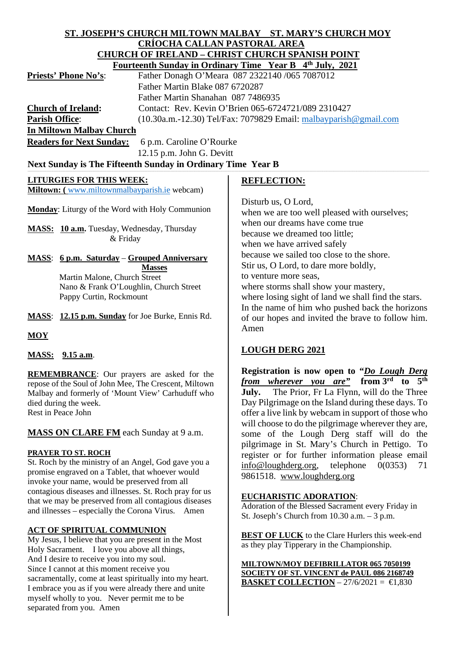### **ST. JOSEPH'S CHURCH MILTOWN MALBAY ST. MARY'S CHURCH MOY CRÍOCHA CALLAN PASTORAL AREA CHURCH OF IRELAND – CHRIST CHURCH SPANISH POINT Fourteenth Sunday in Ordinary Time Year B 4th July, 2021**

| $1 \text{ will}$ . $\frac{1}{2} \text{ will}$ $\frac{1}{2} \text{ will}$ $\frac{1}{2} \text{ will}$ $\frac{1}{2} \text{ will}$ $\frac{1}{2} \text{ will}$ |
|-----------------------------------------------------------------------------------------------------------------------------------------------------------|
| Father Donagh O'Meara 087 2322140 /065 7087012                                                                                                            |
| Father Martin Blake 087 6720287                                                                                                                           |
| Father Martin Shanahan 087 7486935                                                                                                                        |
| Contact: Rev. Kevin O'Brien 065-6724721/089 2310427                                                                                                       |
| $(10.30a.m.-12.30)$ Tel/Fax: 7079829 Email: $m$ albayparish@gmail.com                                                                                     |
| <b>In Miltown Malbay Church</b>                                                                                                                           |
|                                                                                                                                                           |

**Readers for Next Sunday:** 6 p.m. Caroline O'Rourke 12.15 p.m. John G. Devitt

# Next Sunday is The Fifteenth Sunday in Ordinary Time Year B

## **LITURGIES FOR THIS WEEK:**

**Miltown: (** [www.miltownmalbayparish.ie](http://www.miltownmalbayparish.ie/) webcam)

**Monday**: Liturgy of the Word with Holy Communion

**MASS: 10 a.m.** Tuesday, Wednesday, Thursday & Friday

**MASS**: **6 p.m. Saturday** – **Grouped Anniversary Masses** Martin Malone, Church Street Nano & Frank O'Loughlin, Church Street

Pappy Curtin, Rockmount

**MASS**: **12.15 p.m. Sunday** for Joe Burke, Ennis Rd.

**MOY**

## **MASS: 9.15 a.m**.

**REMEMBRANCE**: Our prayers are asked for the repose of the Soul of John Mee, The Crescent, Miltown Malbay and formerly of 'Mount View' Carhuduff who died during the week. Rest in Peace John

## **MASS ON CLARE FM** each Sunday at 9 a.m.

## **PRAYER TO ST. ROCH**

St. Roch by the ministry of an Angel, God gave you a promise engraved on a Tablet, that whoever would invoke your name, would be preserved from all contagious diseases and illnesses. St. Roch pray for us that we may be preserved from all contagious diseases and illnesses – especially the Corona Virus. Amen

# **ACT OF SPIRITUAL COMMUNION**

My Jesus, I believe that you are present in the Most Holy Sacrament. I love you above all things, And I desire to receive you into my soul. Since I cannot at this moment receive you sacramentally, come at least spiritually into my heart. I embrace you as if you were already there and unite myself wholly to you. Never permit me to be separated from you. Amen

## **REFLECTION:**

Disturb us, O Lord,

when we are too well pleased with ourselves; when our dreams have come true because we dreamed too little; when we have arrived safely because we sailed too close to the shore. Stir us, O Lord, to dare more boldly, to venture more seas, where storms shall show your mastery, where losing sight of land we shall find the stars. In the name of him who pushed back the horizons of our hopes and invited the brave to follow him. Amen

# **LOUGH DERG 2021**

**Registration is now open to "***Do Lough Derg from wherever you are"* **from 3rd to 5th July.** The Prior, Fr La Flynn, will do the Three Day Pilgrimage on the Island during these days. To offer a live link by webcam in support of those who will choose to do the pilgrimage wherever they are, some of the Lough Derg staff will do the pilgrimage in St. Mary's Church in Pettigo. To register or for further information please email [info@loughderg.org,](mailto:info@loughderg.org) telephone 0(0353) 71 9861518. [www.loughderg.org](http://www.loughderg.org/)

## **EUCHARISTIC ADORATION**:

Adoration of the Blessed Sacrament every Friday in St. Joseph's Church from 10.30 a.m. – 3 p.m.

**BEST OF LUCK** to the Clare Hurlers this week-end as they play Tipperary in the Championship.

**MILTOWN/MOY DEFIBRILLATOR 065 7050199 SOCIETY OF ST. VINCENT de PAUL 086 2168749 BASKET COLLECTION** – 27/6/2021 =  $\text{ } \in \text{ } 1,830$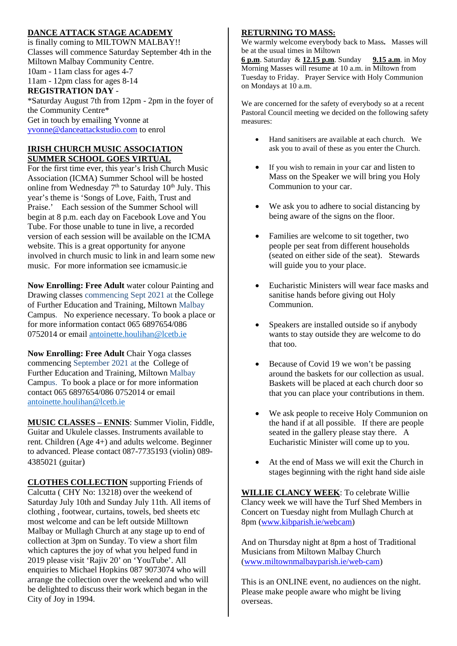## **DANCE ATTACK STAGE ACADEMY**

is finally coming to MILTOWN MALBAY!! Classes will commence Saturday September 4th in the Miltown Malbay Community Centre. 10am - 11am class for ages 4-7 11am - 12pm class for ages 8-14 **REGISTRATION DAY** - \*Saturday August 7th from 12pm - 2pm in the foyer of the Community Centre\*

Get in touch by emailing Yvonne at [yvonne@danceattackstudio.com](mailto:yvonne@danceattackstudio.com) to enrol

#### **IRISH CHURCH MUSIC ASSOCIATION SUMMER SCHOOL GOES VIRTUAL**

For the first time ever, this year's Irish Church Music Association (ICMA) Summer School will be hosted online from Wednesday  $7<sup>th</sup>$  to Saturday  $10<sup>th</sup>$  July. This year's theme is 'Songs of Love, Faith, Trust and Praise.' Each session of the Summer School will begin at 8 p.m. each day on Facebook Love and You Tube. For those unable to tune in live, a recorded version of each session will be available on the ICMA website. This is a great opportunity for anyone involved in church music to link in and learn some new music. For more information see icmamusic.ie

**Now Enrolling: Free Adult** water colour Painting and Drawing classes commencing Sept 2021 at the College of Further Education and Training, Miltown Malbay Campus. No experience necessary. To book a place or for more information contact 065 6897654/086 0752014 or email [antoinette.houlihan@lcetb.ie](mailto:antoinette.houlihan@lcetb.ie)

**Now Enrolling: Free Adult** Chair Yoga classes commencing September 2021 at the College of Further Education and Training, Miltown Malbay Campus. To book a place or for more information contact 065 6897654/086 0752014 or email [antoinette.houlihan@lcetb.ie](mailto:antoinette.houlihan@lcetb.ie)

**MUSIC CLASSES – ENNIS**: Summer Violin, Fiddle, Guitar and Ukulele classes. Instruments available to rent. Children (Age 4+) and adults welcome. Beginner to advanced. Please contact 087-7735193 (violin) 089- 4385021 (guitar)

**CLOTHES COLLECTION** supporting Friends of Calcutta ( CHY No: 13218) over the weekend of Saturday July 10th and Sunday July 11th. All items of clothing , footwear, curtains, towels, bed sheets etc most welcome and can be left outside Milltown Malbay or Mullagh Church at any stage up to end of collection at 3pm on Sunday. To view a short film which captures the joy of what you helped fund in 2019 please visit 'Rajiv 20' on 'YouTube'. All enquiries to Michael Hopkins 087 9073074 who will arrange the collection over the weekend and who will be delighted to discuss their work which began in the City of Joy in 1994.

### **RETURNING TO MASS:**

We warmly welcome everybody back to Mass**.** Masses will be at the usual times in Miltown

**6 p.m**. Saturday & **12.15 p.m**. Sunday **9.15 a.m**. in Moy Morning Masses will resume at 10 a.m. in Miltown from Tuesday to Friday. Prayer Service with Holy Communion on Mondays at 10 a.m.

We are concerned for the safety of everybody so at a recent Pastoral Council meeting we decided on the following safety measures:

- Hand sanitisers are available at each church. We ask you to avail of these as you enter the Church.
- If you wish to remain in your car and listen to Mass on the Speaker we will bring you Holy Communion to your car.
- We ask you to adhere to social distancing by being aware of the signs on the floor.
- Families are welcome to sit together, two people per seat from different households (seated on either side of the seat). Stewards will guide you to your place.
- Eucharistic Ministers will wear face masks and sanitise hands before giving out Holy Communion.
- Speakers are installed outside so if anybody wants to stay outside they are welcome to do that too.
- Because of Covid 19 we won't be passing around the baskets for our collection as usual. Baskets will be placed at each church door so that you can place your contributions in them.
- We ask people to receive Holy Communion on the hand if at all possible. If there are people seated in the gallery please stay there. A Eucharistic Minister will come up to you.
- At the end of Mass we will exit the Church in stages beginning with the right hand side aisle

**WILLIE CLANCY WEEK**: To celebrate Willie Clancy week we will have the Turf Shed Members in Concert on Tuesday night from Mullagh Church at 8pm [\(www.kibparish.ie/webcam\)](http://www.kibparish.ie/webcam)

And on Thursday night at 8pm a host of Traditional Musicians from Miltown Malbay Church [\(www.miltownmalbayparish.ie/web-cam\)](http://www.miltownmalbayparish.ie/web-cam)

This is an ONLINE event, no audiences on the night. Please make people aware who might be living overseas.